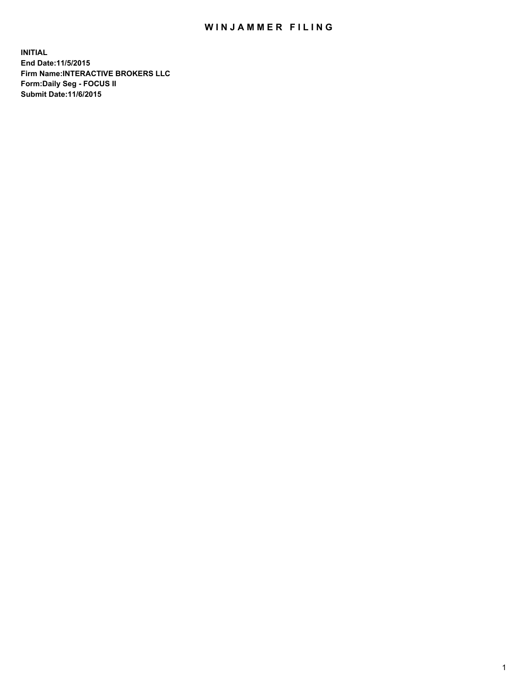## WIN JAMMER FILING

**INITIAL End Date:11/5/2015 Firm Name:INTERACTIVE BROKERS LLC Form:Daily Seg - FOCUS II Submit Date:11/6/2015**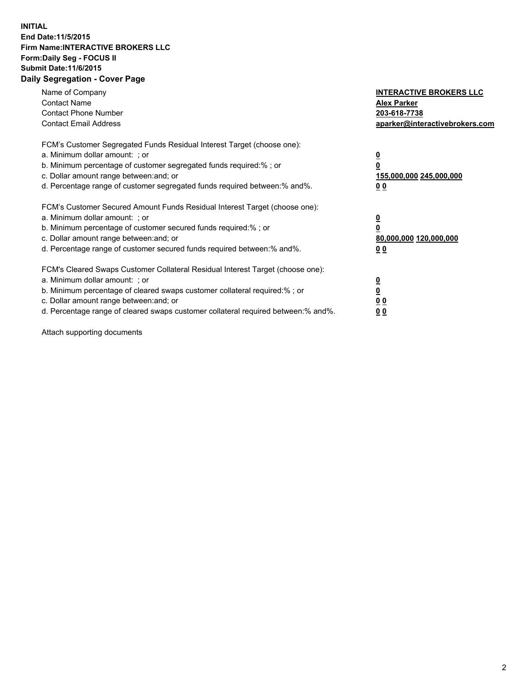## **INITIAL End Date:11/5/2015 Firm Name:INTERACTIVE BROKERS LLC Form:Daily Seg - FOCUS II Submit Date:11/6/2015 Daily Segregation - Cover Page**

| Name of Company<br><b>Contact Name</b><br><b>Contact Phone Number</b><br><b>Contact Email Address</b>                                                                                                                                                                                                                         | <b>INTERACTIVE BROKERS LLC</b><br><b>Alex Parker</b><br>203-618-7738<br>aparker@interactivebrokers.com |
|-------------------------------------------------------------------------------------------------------------------------------------------------------------------------------------------------------------------------------------------------------------------------------------------------------------------------------|--------------------------------------------------------------------------------------------------------|
| FCM's Customer Segregated Funds Residual Interest Target (choose one):<br>a. Minimum dollar amount: ; or<br>b. Minimum percentage of customer segregated funds required:% ; or<br>c. Dollar amount range between: and; or<br>d. Percentage range of customer segregated funds required between:% and%.                        | <u>0</u><br>155,000,000 245,000,000<br>0 <sub>0</sub>                                                  |
| FCM's Customer Secured Amount Funds Residual Interest Target (choose one):<br>a. Minimum dollar amount: ; or<br>b. Minimum percentage of customer secured funds required:%; or<br>c. Dollar amount range between: and; or<br>d. Percentage range of customer secured funds required between: % and %.                         | <u>0</u><br>80,000,000 120,000,000<br><u>00</u>                                                        |
| FCM's Cleared Swaps Customer Collateral Residual Interest Target (choose one):<br>a. Minimum dollar amount: ; or<br>b. Minimum percentage of cleared swaps customer collateral required:%; or<br>c. Dollar amount range between: and; or<br>d. Percentage range of cleared swaps customer collateral required between:% and%. | <u>0</u><br>0 <sub>0</sub><br>0 <sub>0</sub>                                                           |

Attach supporting documents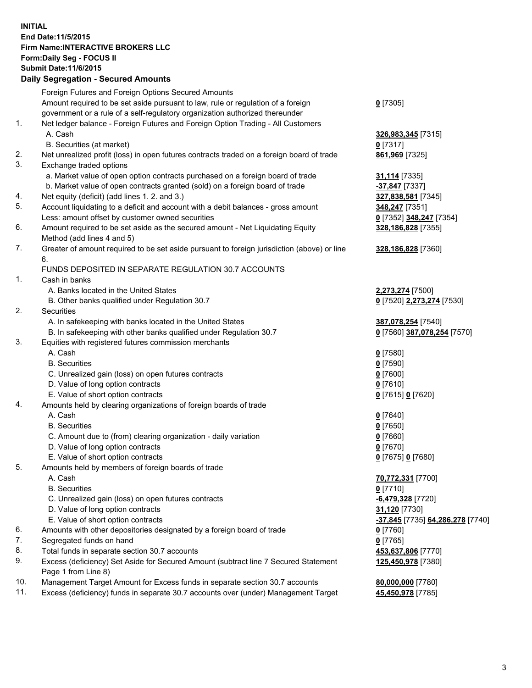## **INITIAL End Date:11/5/2015 Firm Name:INTERACTIVE BROKERS LLC Form:Daily Seg - FOCUS II Submit Date:11/6/2015 Daily Segregation - Secured Amounts**

|     | Dany Ocgregation - Oceanea Annoanta                                                                        |                                  |
|-----|------------------------------------------------------------------------------------------------------------|----------------------------------|
|     | Foreign Futures and Foreign Options Secured Amounts                                                        |                                  |
|     | Amount required to be set aside pursuant to law, rule or regulation of a foreign                           | $0$ [7305]                       |
|     | government or a rule of a self-regulatory organization authorized thereunder                               |                                  |
| 1.  | Net ledger balance - Foreign Futures and Foreign Option Trading - All Customers                            |                                  |
|     | A. Cash                                                                                                    | 326,983,345 [7315]               |
|     | B. Securities (at market)                                                                                  | $0$ [7317]                       |
| 2.  | Net unrealized profit (loss) in open futures contracts traded on a foreign board of trade                  | 861,969 [7325]                   |
| 3.  | Exchange traded options                                                                                    |                                  |
|     | a. Market value of open option contracts purchased on a foreign board of trade                             | 31,114 [7335]                    |
|     | b. Market value of open contracts granted (sold) on a foreign board of trade                               | -37,847 [7337]                   |
| 4.  | Net equity (deficit) (add lines 1.2. and 3.)                                                               | 327,838,581 [7345]               |
| 5.  | Account liquidating to a deficit and account with a debit balances - gross amount                          | 348,247 [7351]                   |
|     | Less: amount offset by customer owned securities                                                           | 0 [7352] 348,247 [7354]          |
| 6.  | Amount required to be set aside as the secured amount - Net Liquidating Equity                             | 328,186,828 [7355]               |
|     | Method (add lines 4 and 5)                                                                                 |                                  |
| 7.  | Greater of amount required to be set aside pursuant to foreign jurisdiction (above) or line                | 328,186,828 [7360]               |
|     | 6.                                                                                                         |                                  |
|     | FUNDS DEPOSITED IN SEPARATE REGULATION 30.7 ACCOUNTS                                                       |                                  |
| 1.  | Cash in banks                                                                                              |                                  |
|     | A. Banks located in the United States                                                                      | 2,273,274 [7500]                 |
|     | B. Other banks qualified under Regulation 30.7                                                             | 0 [7520] 2,273,274 [7530]        |
| 2.  | Securities                                                                                                 |                                  |
|     | A. In safekeeping with banks located in the United States                                                  | 387,078,254 [7540]               |
|     | B. In safekeeping with other banks qualified under Regulation 30.7                                         | 0 [7560] 387,078,254 [7570]      |
| 3.  | Equities with registered futures commission merchants                                                      |                                  |
|     | A. Cash                                                                                                    | $0$ [7580]                       |
|     | <b>B.</b> Securities                                                                                       | $0$ [7590]                       |
|     | C. Unrealized gain (loss) on open futures contracts                                                        | $0$ [7600]                       |
|     | D. Value of long option contracts                                                                          | $0$ [7610]                       |
|     | E. Value of short option contracts                                                                         | 0 [7615] 0 [7620]                |
| 4.  | Amounts held by clearing organizations of foreign boards of trade                                          |                                  |
|     | A. Cash                                                                                                    | $0$ [7640]                       |
|     | <b>B.</b> Securities                                                                                       | $0$ [7650]                       |
|     | C. Amount due to (from) clearing organization - daily variation                                            | $0$ [7660]                       |
|     | D. Value of long option contracts                                                                          | $0$ [7670]                       |
|     | E. Value of short option contracts                                                                         | 0 [7675] 0 [7680]                |
| 5.  | Amounts held by members of foreign boards of trade                                                         |                                  |
|     | A. Cash                                                                                                    | 70,772,331 [7700]                |
|     | <b>B.</b> Securities                                                                                       | $0$ [7710]                       |
|     | C. Unrealized gain (loss) on open futures contracts                                                        | -6,479,328 [7720]                |
|     | D. Value of long option contracts                                                                          | 31,120 [7730]                    |
|     | E. Value of short option contracts                                                                         | -37,845 [7735] 64,286,278 [7740] |
| 6.  | Amounts with other depositories designated by a foreign board of trade                                     | 0 [7760]                         |
| 7.  | Segregated funds on hand                                                                                   | $0$ [7765]                       |
| 8.  | Total funds in separate section 30.7 accounts                                                              | 453,637,806 [7770]               |
| 9.  | Excess (deficiency) Set Aside for Secured Amount (subtract line 7 Secured Statement<br>Page 1 from Line 8) | 125,450,978 [7380]               |
| 10. | Management Target Amount for Excess funds in separate section 30.7 accounts                                | 80,000,000 [7780]                |
| 11. | Excess (deficiency) funds in separate 30.7 accounts over (under) Management Target                         | 45,450,978 [7785]                |
|     |                                                                                                            |                                  |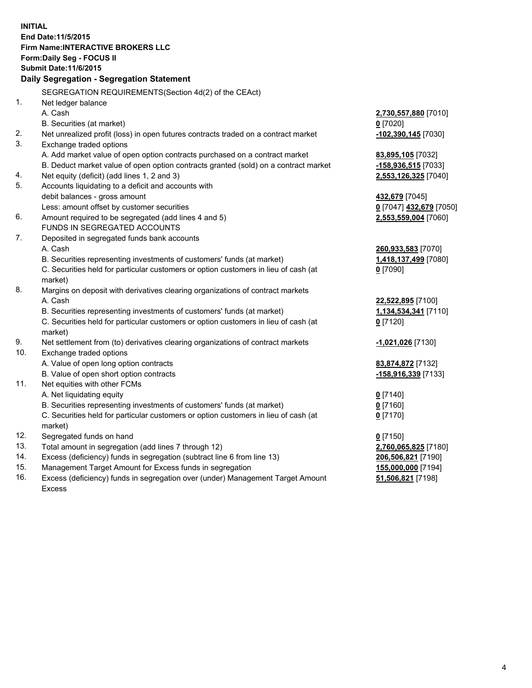**INITIAL End Date:11/5/2015 Firm Name:INTERACTIVE BROKERS LLC Form:Daily Seg - FOCUS II Submit Date:11/6/2015 Daily Segregation - Segregation Statement** SEGREGATION REQUIREMENTS(Section 4d(2) of the CEAct) 1. Net ledger balance A. Cash **2,730,557,880** [7010] B. Securities (at market) **0** [7020] 2. Net unrealized profit (loss) in open futures contracts traded on a contract market **-102,390,145** [7030] 3. Exchange traded options A. Add market value of open option contracts purchased on a contract market **83,895,105** [7032] B. Deduct market value of open option contracts granted (sold) on a contract market **-158,936,515** [7033] 4. Net equity (deficit) (add lines 1, 2 and 3) **2,553,126,325** [7040] 5. Accounts liquidating to a deficit and accounts with debit balances - gross amount **432,679** [7045] Less: amount offset by customer securities **0** [7047] **432,679** [7050] 6. Amount required to be segregated (add lines 4 and 5) **2,553,559,004** [7060] FUNDS IN SEGREGATED ACCOUNTS 7. Deposited in segregated funds bank accounts A. Cash **260,933,583** [7070] B. Securities representing investments of customers' funds (at market) **1,418,137,499** [7080] C. Securities held for particular customers or option customers in lieu of cash (at market) **0** [7090] 8. Margins on deposit with derivatives clearing organizations of contract markets A. Cash **22,522,895** [7100] B. Securities representing investments of customers' funds (at market) **1,134,534,341** [7110] C. Securities held for particular customers or option customers in lieu of cash (at market) **0** [7120] 9. Net settlement from (to) derivatives clearing organizations of contract markets **-1,021,026** [7130] 10. Exchange traded options A. Value of open long option contracts **83,874,872** [7132] B. Value of open short option contracts **-158,916,339** [7133] 11. Net equities with other FCMs A. Net liquidating equity **0** [7140] B. Securities representing investments of customers' funds (at market) **0** [7160] C. Securities held for particular customers or option customers in lieu of cash (at market) **0** [7170] 12. Segregated funds on hand **0** [7150] 13. Total amount in segregation (add lines 7 through 12) **2,760,065,825** [7180] 14. Excess (deficiency) funds in segregation (subtract line 6 from line 13) **206,506,821** [7190] 15. Management Target Amount for Excess funds in segregation **155,000,000** [7194] **51,506,821** [7198]

16. Excess (deficiency) funds in segregation over (under) Management Target Amount Excess